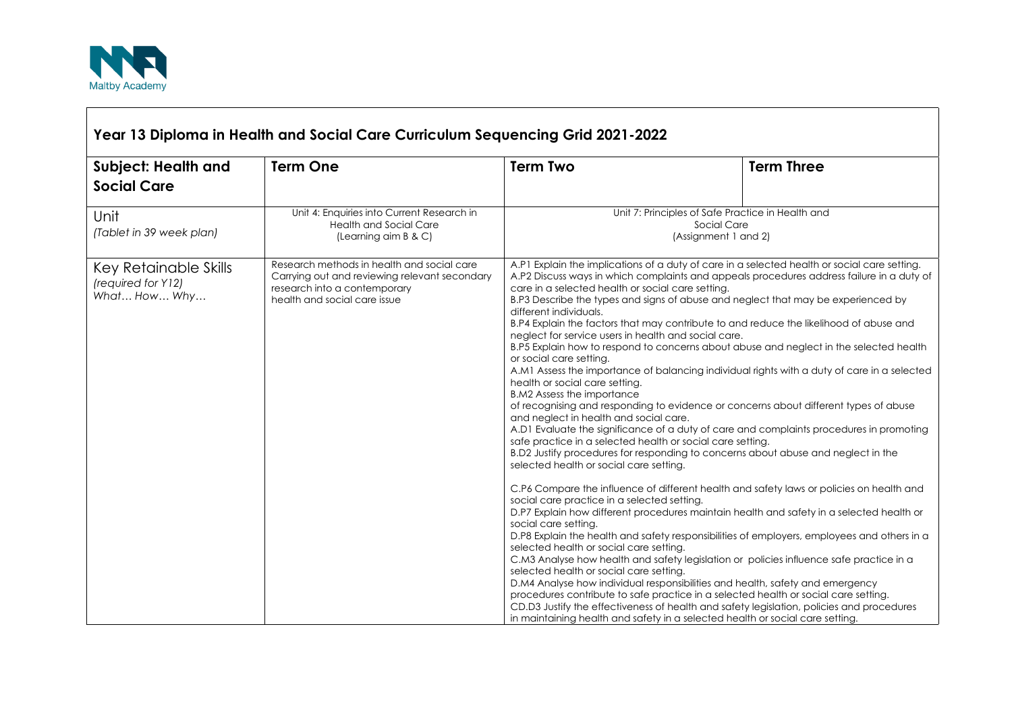

| Year 13 Diploma in Health and Social Care Curriculum Sequencing Grid 2021-2022 |                                                                                                                                                             |                                                                                                                                                                                                                                                                                                                                                                                                                                                                                                                                                                                                                                                                                                                                                                                                                                                                                                                                                                                                                                                                                     |                                                                                                                                                                                                                                                                                                                                                                                                                                                                                                                                                                                                                                                                                                                                                                                                                                                                                                                                                                                                                                                     |  |
|--------------------------------------------------------------------------------|-------------------------------------------------------------------------------------------------------------------------------------------------------------|-------------------------------------------------------------------------------------------------------------------------------------------------------------------------------------------------------------------------------------------------------------------------------------------------------------------------------------------------------------------------------------------------------------------------------------------------------------------------------------------------------------------------------------------------------------------------------------------------------------------------------------------------------------------------------------------------------------------------------------------------------------------------------------------------------------------------------------------------------------------------------------------------------------------------------------------------------------------------------------------------------------------------------------------------------------------------------------|-----------------------------------------------------------------------------------------------------------------------------------------------------------------------------------------------------------------------------------------------------------------------------------------------------------------------------------------------------------------------------------------------------------------------------------------------------------------------------------------------------------------------------------------------------------------------------------------------------------------------------------------------------------------------------------------------------------------------------------------------------------------------------------------------------------------------------------------------------------------------------------------------------------------------------------------------------------------------------------------------------------------------------------------------------|--|
| <b>Subject: Health and</b><br><b>Social Care</b>                               | <b>Term One</b>                                                                                                                                             | <b>Term Two</b>                                                                                                                                                                                                                                                                                                                                                                                                                                                                                                                                                                                                                                                                                                                                                                                                                                                                                                                                                                                                                                                                     | <b>Term Three</b>                                                                                                                                                                                                                                                                                                                                                                                                                                                                                                                                                                                                                                                                                                                                                                                                                                                                                                                                                                                                                                   |  |
| Unit<br>(Tablet in 39 week plan)                                               | Unit 4: Enquiries into Current Research in<br><b>Health and Social Care</b><br>(Learning aim B & C)                                                         | Unit 7: Principles of Safe Practice in Health and<br>Social Care<br>(Assignment 1 and 2)                                                                                                                                                                                                                                                                                                                                                                                                                                                                                                                                                                                                                                                                                                                                                                                                                                                                                                                                                                                            |                                                                                                                                                                                                                                                                                                                                                                                                                                                                                                                                                                                                                                                                                                                                                                                                                                                                                                                                                                                                                                                     |  |
| Key Retainable Skills<br>(required for Y12)<br>What How Why                    | Research methods in health and social care<br>Carrying out and reviewing relevant secondary<br>research into a contemporary<br>health and social care issue | care in a selected health or social care setting.<br>B.P3 Describe the types and signs of abuse and neglect that may be experienced by<br>different individuals.<br>neglect for service users in health and social care.<br>or social care setting.<br>health or social care setting.<br><b>B.M2 Assess the importance</b><br>and neglect in health and social care.<br>safe practice in a selected health or social care setting.<br>B.D2 Justify procedures for responding to concerns about abuse and neglect in the<br>selected health or social care setting.<br>social care practice in a selected setting.<br>social care setting.<br>selected health or social care setting.<br>C.M3 Analyse how health and safety legislation or policies influence safe practice in a<br>selected health or social care setting.<br>D.M4 Analyse how individual responsibilities and health, safety and emergency<br>procedures contribute to safe practice in a selected health or social care setting.<br>in maintaining health and safety in a selected health or social care setting. | A.P1 Explain the implications of a duty of care in a selected health or social care setting.<br>A.P2 Discuss ways in which complaints and appeals procedures address failure in a duty of<br>B.P4 Explain the factors that may contribute to and reduce the likelihood of abuse and<br>B.P5 Explain how to respond to concerns about abuse and neglect in the selected health<br>A.MI Assess the importance of balancing individual rights with a duty of care in a selected<br>of recognising and responding to evidence or concerns about different types of abuse<br>A.D1 Evaluate the significance of a duty of care and complaints procedures in promoting<br>C.P6 Compare the influence of different health and safety laws or policies on health and<br>D.P7 Explain how different procedures maintain health and safety in a selected health or<br>D.P8 Explain the health and safety responsibilities of employers, employees and others in a<br>CD.D3 Justify the effectiveness of health and safety legislation, policies and procedures |  |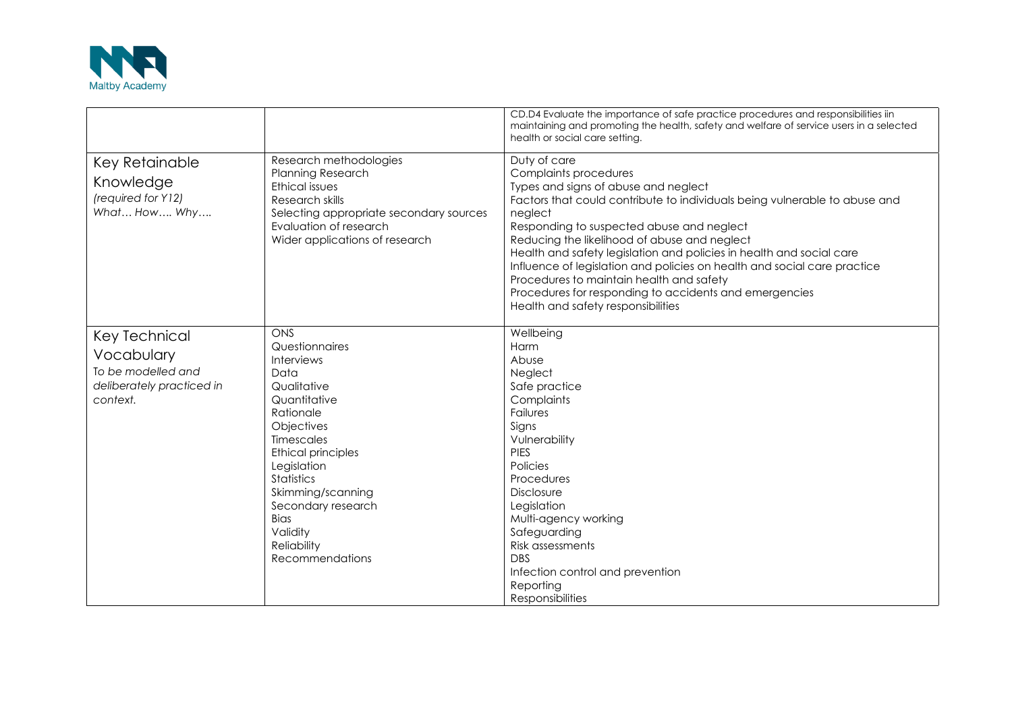

|                                                                                            |                                                                                                                                                                                                                                                                                                                   | CD.D4 Evaluate the importance of safe practice procedures and responsibilities iin<br>maintaining and promoting the health, safety and welfare of service users in a selected<br>health or social care setting.                                                                                                                                                                                                                                                                                                                                                     |
|--------------------------------------------------------------------------------------------|-------------------------------------------------------------------------------------------------------------------------------------------------------------------------------------------------------------------------------------------------------------------------------------------------------------------|---------------------------------------------------------------------------------------------------------------------------------------------------------------------------------------------------------------------------------------------------------------------------------------------------------------------------------------------------------------------------------------------------------------------------------------------------------------------------------------------------------------------------------------------------------------------|
| Key Retainable<br>Knowledge<br>(required for Y12)<br>What How Why                          | Research methodologies<br><b>Planning Research</b><br>Ethical issues<br>Research skills<br>Selecting appropriate secondary sources<br>Evaluation of research<br>Wider applications of research                                                                                                                    | Duty of care<br>Complaints procedures<br>Types and signs of abuse and neglect<br>Factors that could contribute to individuals being vulnerable to abuse and<br>neglect<br>Responding to suspected abuse and neglect<br>Reducing the likelihood of abuse and neglect<br>Health and safety legislation and policies in health and social care<br>Influence of legislation and policies on health and social care practice<br>Procedures to maintain health and safety<br>Procedures for responding to accidents and emergencies<br>Health and safety responsibilities |
| Key Technical<br>Vocabulary<br>To be modelled and<br>deliberately practiced in<br>context. | ONS<br>Questionnaires<br><b>Interviews</b><br>Data<br>Qualitative<br>Quantitative<br>Rationale<br>Objectives<br><b>Timescales</b><br><b>Ethical principles</b><br>Legislation<br><b>Statistics</b><br>Skimming/scanning<br>Secondary research<br><b>Bias</b><br>Validity<br><b>Reliability</b><br>Recommendations | Wellbeing<br>Harm<br>Abuse<br>Neglect<br>Safe practice<br>Complaints<br>Failures<br>Signs<br>Vulnerability<br><b>PIES</b><br>Policies<br>Procedures<br><b>Disclosure</b><br>Legislation<br>Multi-agency working<br>Safeguarding<br>Risk assessments<br><b>DBS</b><br>Infection control and prevention<br>Reporting<br><b>Responsibilities</b>                                                                                                                                                                                                                       |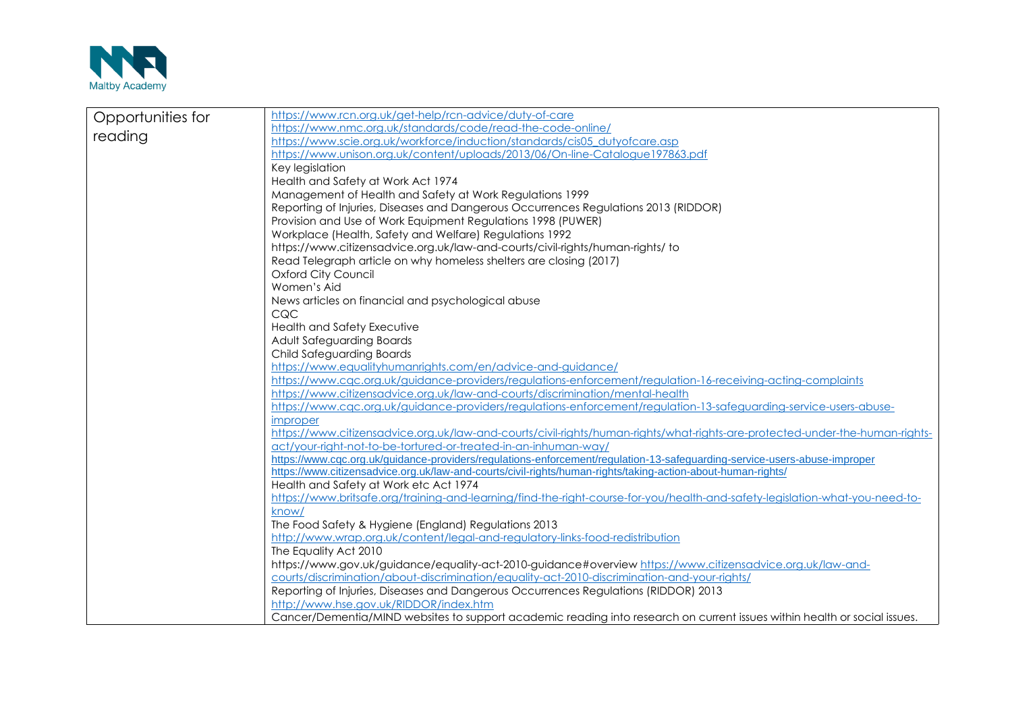

| https://www.rcn.org.uk/get-help/rcn-advice/duty-of-care<br>https://www.nmc.org.uk/standards/code/read-the-code-online/                                                                                     |  |  |
|------------------------------------------------------------------------------------------------------------------------------------------------------------------------------------------------------------|--|--|
|                                                                                                                                                                                                            |  |  |
| https://www.scie.org.uk/workforce/induction/standards/cis05_dutyofcare.asp<br>https://www.unison.org.uk/content/uploads/2013/06/On-line-Catalogue197863.pdf                                                |  |  |
|                                                                                                                                                                                                            |  |  |
| Key legislation                                                                                                                                                                                            |  |  |
| Health and Safety at Work Act 1974                                                                                                                                                                         |  |  |
| Management of Health and Safety at Work Regulations 1999                                                                                                                                                   |  |  |
| Reporting of Injuries, Diseases and Dangerous Occurrences Regulations 2013 (RIDDOR)                                                                                                                        |  |  |
| Provision and Use of Work Equipment Regulations 1998 (PUWER)                                                                                                                                               |  |  |
| Workplace (Health, Safety and Welfare) Regulations 1992<br>https://www.citizensadvice.org.uk/law-and-courts/civil-rights/human-rights/ to                                                                  |  |  |
|                                                                                                                                                                                                            |  |  |
|                                                                                                                                                                                                            |  |  |
|                                                                                                                                                                                                            |  |  |
|                                                                                                                                                                                                            |  |  |
|                                                                                                                                                                                                            |  |  |
|                                                                                                                                                                                                            |  |  |
|                                                                                                                                                                                                            |  |  |
|                                                                                                                                                                                                            |  |  |
|                                                                                                                                                                                                            |  |  |
|                                                                                                                                                                                                            |  |  |
|                                                                                                                                                                                                            |  |  |
|                                                                                                                                                                                                            |  |  |
| https://www.cgc.org.uk/quidance-providers/regulations-enforcement/regulation-13-safeguarding-service-users-abuse-                                                                                          |  |  |
|                                                                                                                                                                                                            |  |  |
| https://www.citizensadvice.org.uk/law-and-courts/civil-rights/human-rights/what-rights-are-protected-under-the-human-rights-                                                                               |  |  |
|                                                                                                                                                                                                            |  |  |
|                                                                                                                                                                                                            |  |  |
|                                                                                                                                                                                                            |  |  |
|                                                                                                                                                                                                            |  |  |
| https://www.britsafe.org/training-and-learning/find-the-right-course-for-you/health-and-safety-legislation-what-you-need-to-                                                                               |  |  |
| know/<br>The Food Safety & Hygiene (England) Regulations 2013                                                                                                                                              |  |  |
|                                                                                                                                                                                                            |  |  |
| http://www.wrap.org.uk/content/legal-and-regulatory-links-food-redistribution<br>The Equality Act 2010                                                                                                     |  |  |
|                                                                                                                                                                                                            |  |  |
| https://www.gov.uk/guidance/equality-act-2010-guidance#overview https://www.citizensadvice.org.uk/law-and-<br>courts/discrimination/about-discrimination/equality-act-2010-discrimination-and-your-rights/ |  |  |
| Reporting of Injuries, Diseases and Dangerous Occurrences Regulations (RIDDOR) 2013                                                                                                                        |  |  |
| http://www.hse.gov.uk/RIDDOR/index.htm                                                                                                                                                                     |  |  |
| Cancer/Dementia/MIND websites to support academic reading into research on current issues within health or social issues.                                                                                  |  |  |
|                                                                                                                                                                                                            |  |  |